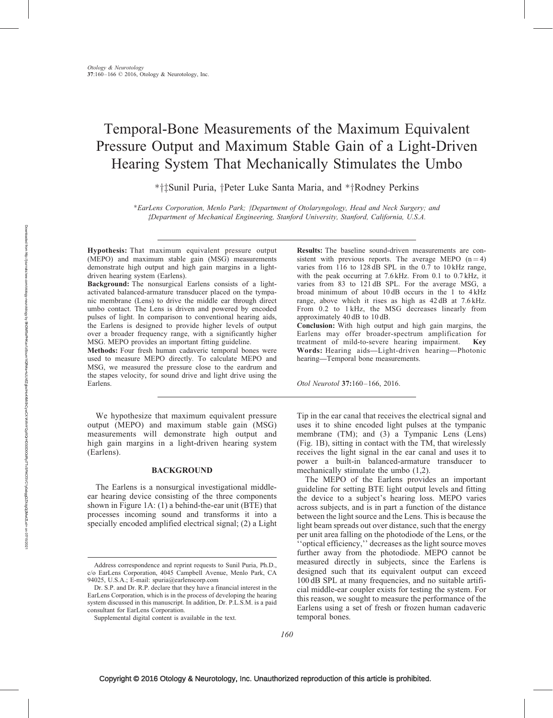# Temporal-Bone Measurements of the Maximum Equivalent Pressure Output and Maximum Stable Gain of a Light-Driven Hearing System That Mechanically Stimulates the Umbo

\* † ‡Sunil Puria, † Peter Luke Santa Maria, and \* † Rodney Perkins

\*EarLens Corporation, Menlo Park; †Department of Otolaryngology, Head and Neck Surgery; and zDepartment of Mechanical Engineering, Stanford University, Stanford, California, U.S.A.

Hypothesis: That maximum equivalent pressure output (MEPO) and maximum stable gain (MSG) measurements demonstrate high output and high gain margins in a lightdriven hearing system (Earlens).

Background: The nonsurgical Earlens consists of a lightactivated balanced-armature transducer placed on the tympanic membrane (Lens) to drive the middle ear through direct umbo contact. The Lens is driven and powered by encoded pulses of light. In comparison to conventional hearing aids, the Earlens is designed to provide higher levels of output over a broader frequency range, with a significantly higher MSG. MEPO provides an important fitting guideline.

Methods: Four fresh human cadaveric temporal bones were used to measure MEPO directly. To calculate MEPO and MSG, we measured the pressure close to the eardrum and the stapes velocity, for sound drive and light drive using the Earlens.

We hypothesize that maximum equivalent pressure output (MEPO) and maximum stable gain (MSG) measurements will demonstrate high output and high gain margins in a light-driven hearing system (Earlens).

# **BACKGROUND**

The Earlens is a nonsurgical investigational middleear hearing device consisting of the three components shown in Figure 1A: (1) a behind-the-ear unit (BTE) that processes incoming sound and transforms it into a specially encoded amplified electrical signal; (2) a Light Results: The baseline sound-driven measurements are consistent with previous reports. The average MEPO  $(n=4)$ varies from 116 to 128 dB SPL in the 0.7 to 10 kHz range, with the peak occurring at 7.6 kHz. From 0.1 to 0.7 kHz, it varies from 83 to 121 dB SPL. For the average MSG, a broad minimum of about 10 dB occurs in the 1 to 4 kHz range, above which it rises as high as 42 dB at 7.6 kHz. From 0.2 to 1 kHz, the MSG decreases linearly from approximately 40 dB to 10 dB.

Conclusion: With high output and high gain margins, the Earlens may offer broader-spectrum amplification for treatment of mild-to-severe hearing impairment. Key Words: Hearing aids—Light-driven hearing—Photonic hearing—Temporal bone measurements.

Otol Neurotol 37:160–166, 2016.

Tip in the ear canal that receives the electrical signal and uses it to shine encoded light pulses at the tympanic membrane (TM); and (3) a Tympanic Lens (Lens) (Fig. 1B), sitting in contact with the TM, that wirelessly receives the light signal in the ear canal and uses it to power a built-in balanced-armature transducer to mechanically stimulate the umbo (1,2).

The MEPO of the Earlens provides an important guideline for setting BTE light output levels and fitting the device to a subject's hearing loss. MEPO varies across subjects, and is in part a function of the distance between the light source and the Lens. This is because the light beam spreads out over distance, such that the energy per unit area falling on the photodiode of the Lens, or the ''optical efficiency,'' decreases as the light source moves further away from the photodiode. MEPO cannot be measured directly in subjects, since the Earlens is designed such that its equivalent output can exceed 100 dB SPL at many frequencies, and no suitable artificial middle-ear coupler exists for testing the system. For this reason, we sought to measure the performance of the Earlens using a set of fresh or frozen human cadaveric temporal bones.

Address correspondence and reprint requests to Sunil Puria, Ph.D., c/o EarLens Corporation, 4045 Campbell Avenue, Menlo Park, CA 94025, U.S.A.; E-mail: [spuria@earlenscorp.com](mailto:spuria@earlenscorp.com)

Dr. S.P. and Dr. R.P. declare that they have a financial interest in the EarLens Corporation, which is in the process of developing the hearing system discussed in this manuscript. In addition, Dr. P.L.S.M. is a paid consultant for EarLens Corporation.

Supplemental digital content is available in the text.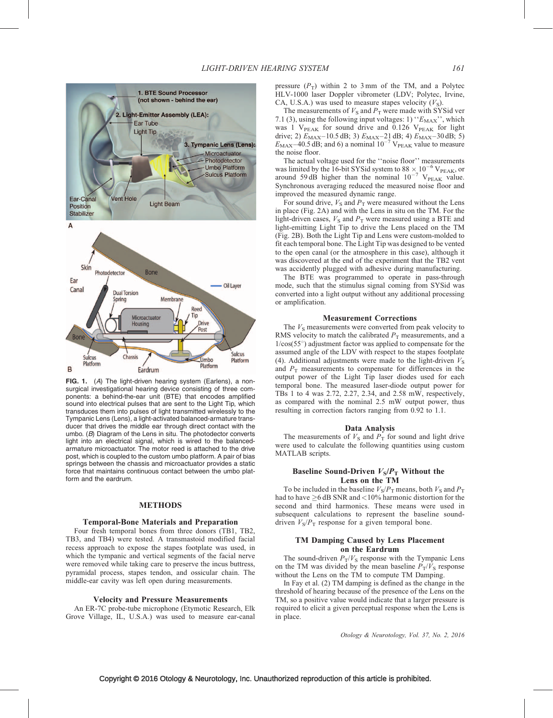

FIG. 1. (A) The light-driven hearing system (Earlens), a nonsurgical investigational hearing device consisting of three components: a behind-the-ear unit (BTE) that encodes amplified sound into electrical pulses that are sent to the Light Tip, which transduces them into pulses of light transmitted wirelessly to the Tympanic Lens (Lens), a light-activated balanced-armature transducer that drives the middle ear through direct contact with the umbo. (B) Diagram of the Lens in situ. The photodector converts light into an electrical signal, which is wired to the balancedarmature microactuator. The motor reed is attached to the drive post, which is coupled to the custom umbo platform. A pair of bias springs between the chassis and microactuator provides a static force that maintains continuous contact between the umbo platform and the eardrum.

### METHODS

# Temporal-Bone Materials and Preparation

Four fresh temporal bones from three donors (TB1, TB2, TB3, and TB4) were tested. A transmastoid modified facial recess approach to expose the stapes footplate was used, in which the tympanic and vertical segments of the facial nerve were removed while taking care to preserve the incus buttress, pyramidal process, stapes tendon, and ossicular chain. The middle-ear cavity was left open during measurements.

# Velocity and Pressure Measurements

An ER-7C probe-tube microphone (Etymotic Research, Elk Grove Village, IL, U.S.A.) was used to measure ear-canal pressure  $(P_T)$  within 2 to 3 mm of the TM, and a Polytec HLV-1000 laser Doppler vibrometer (LDV; Polytec, Irvine, CA, U.S.A.) was used to measure stapes velocity  $(V<sub>S</sub>)$ .

The measurements of  $V<sub>S</sub>$  and  $P<sub>T</sub>$  were made with SYSid ver 7.1 (3), using the following input voltages: 1) " $E_{MAX}$ ", which was 1  $V_{PEAK}$  for sound drive and 0.126  $V_{PEAK}$  for light drive; 2)  $E_{\text{MAX}}$  - 10.5 dB; 3)  $E_{\text{MAX}}$  - 21 dB; 4)  $E_{\text{MAX}}$  - 30 dB; 5)  $E_{\text{MAX}}$  - 40.5 dB; and 6) a nominal  $10^{-7}$  V<sub>PEAK</sub> value to measure the noise floor.

The actual voltage used for the ''noise floor'' measurements was limited by the 16-bit SYSid system to 88  $\times$  10<sup>-6</sup> V<sub>PEAK</sub>, or around 59 dB higher than the nominal  $10^{-7}$  V<sub>PEAK</sub> value. Synchronous averaging reduced the measured noise floor and improved the measured dynamic range.

For sound drive,  $V<sub>S</sub>$  and  $P<sub>T</sub>$  were measured without the Lens in place (Fig. 2A) and with the Lens in situ on the TM. For the light-driven cases,  $V<sub>S</sub>$  and  $P<sub>T</sub>$  were measured using a BTE and light-emitting Light Tip to drive the Lens placed on the TM (Fig. 2B). Both the Light Tip and Lens were custom-molded to fit each temporal bone. The Light Tip was designed to be vented to the open canal (or the atmosphere in this case), although it was discovered at the end of the experiment that the TB2 vent was accidently plugged with adhesive during manufacturing.

The BTE was programmed to operate in pass-through mode, such that the stimulus signal coming from SYSid was converted into a light output without any additional processing or amplification.

#### Measurement Corrections

The  $V<sub>S</sub>$  measurements were converted from peak velocity to RMS velocity to match the calibrated  $P<sub>T</sub>$  measurements, and a  $1/cos(55^\circ)$  adjustment factor was applied to compensate for the assumed angle of the LDV with respect to the stapes footplate (4). Additional adjustments were made to the light-driven  $V<sub>S</sub>$ and  $P<sub>T</sub>$  measurements to compensate for differences in the output power of the Light Tip laser diodes used for each temporal bone. The measured laser-diode output power for TBs 1 to 4 was 2.72, 2.27, 2.34, and 2.58 mW, respectively, as compared with the nominal 2.5 mW output power, thus resulting in correction factors ranging from 0.92 to 1.1.

### Data Analysis

The measurements of  $V_s$  and  $P_T$  for sound and light drive were used to calculate the following quantities using custom MATLAB scripts.

# Baseline Sound-Driven  $V_S/P_T$  Without the Lens on the TM

To be included in the baseline  $V_S/P_T$  means, both  $V_S$  and  $P_T$ had to have  $\geq$ 6 dB SNR and <10% harmonic distortion for the second and third harmonics. These means were used in subsequent calculations to represent the baseline sounddriven  $V_S/P_T$  response for a given temporal bone.

# TM Damping Caused by Lens Placement on the Eardrum

The sound-driven  $P_T/V_S$  response with the Tympanic Lens on the TM was divided by the mean baseline  $P_T/V_S$  response without the Lens on the TM to compute TM Damping.

In Fay et al. (2) TM damping is defined as the change in the threshold of hearing because of the presence of the Lens on the TM, so a positive value would indicate that a larger pressure is required to elicit a given perceptual response when the Lens is in place.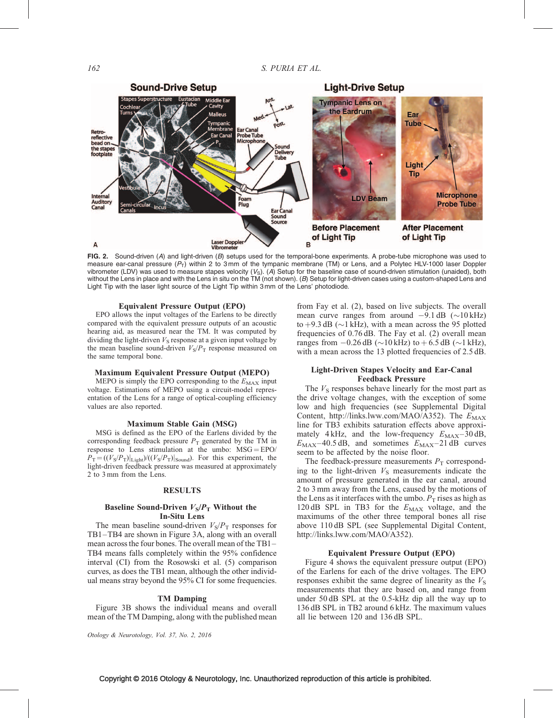

FIG. 2. Sound-driven (A) and light-driven (B) setups used for the temporal-bone experiments. A probe-tube microphone was used to measure ear-canal pressure  $(P_T)$  within 2 to 3 mm of the tympanic membrane (TM) or Lens, and a Polytec HLV-1000 laser Doppler vibrometer (LDV) was used to measure stapes velocity  $(V_S)$ . (A) Setup for the baseline case of sound-driven stimulation (unaided), both without the Lens in place and with the Lens in situ on the TM (not shown). (B) Setup for light-driven cases using a custom-shaped Lens and Light Tip with the laser light source of the Light Tip within 3 mm of the Lens' photodiode.

### Equivalent Pressure Output (EPO)

EPO allows the input voltages of the Earlens to be directly compared with the equivalent pressure outputs of an acoustic hearing aid, as measured near the TM. It was computed by dividing the light-driven  $V<sub>S</sub>$  response at a given input voltage by the mean baseline sound-driven  $V_S/P_T$  response measured on the same temporal bone.

#### Maximum Equivalent Pressure Output (MEPO)

MEPO is simply the EPO corresponding to the  $E_{MAX}$  input voltage. Estimations of MEPO using a circuit-model representation of the Lens for a range of optical-coupling efficiency values are also reported.

#### Maximum Stable Gain (MSG)

MSG is defined as the EPO of the Earlens divided by the corresponding feedback pressure  $P<sub>T</sub>$  generated by the TM in response to Lens stimulation at the umbo:  $MSG = EPO/$  $P_T = ((V_S/P_T)|_{\text{Light}})/((V_S/P_T)|_{\text{Sound}})$ . For this experiment, the light-driven feedback pressure was measured at approximately 2 to 3 mm from the Lens.

## **RESULTS**

# Baseline Sound-Driven  $V_S/P_T$  Without the In-Situ Lens

The mean baseline sound-driven  $V_S/P_T$  responses for TB1–TB4 are shown in Figure 3A, along with an overall mean across the four bones. The overall mean of the TB1– TB4 means falls completely within the 95% confidence interval (CI) from the Rosowski et al. (5) comparison curves, as does the TB1 mean, although the other individual means stray beyond the 95% CI for some frequencies.

# TM Damping

Figure 3B shows the individual means and overall mean of the TM Damping, along with the published mean

Otology & Neurotology, Vol. 37, No. 2, 2016

from Fay et al. (2), based on live subjects. The overall mean curve ranges from around  $-9.1$  dB ( $\sim$ 10 kHz) to  $+9.3$  dB ( $\sim$ 1 kHz), with a mean across the 95 plotted frequencies of 0.76 dB. The Fay et al. (2) overall mean ranges from  $-0.26$  dB ( $\sim$ 10 kHz) to  $+6.5$  dB ( $\sim$ 1 kHz), with a mean across the 13 plotted frequencies of 2.5 dB.

# Light-Driven Stapes Velocity and Ear-Canal Feedback Pressure

The  $V<sub>S</sub>$  responses behave linearly for the most part as the drive voltage changes, with the exception of some low and high frequencies (see Supplemental Digital Content,<http://links.lww.com/MAO/A352>). The  $E_{MAX}$ line for TB3 exhibits saturation effects above approximately 4 kHz, and the low-frequency  $E_{MAX}$ –30 dB,  $E_{MAX}$ –40.5 dB, and sometimes  $E_{MAX}$ –21 dB curves seem to be affected by the noise floor.

The feedback-pressure measurements  $P<sub>T</sub>$  corresponding to the light-driven  $V<sub>S</sub>$  measurements indicate the amount of pressure generated in the ear canal, around 2 to 3 mm away from the Lens, caused by the motions of the Lens as it interfaces with the umbo.  $P<sub>T</sub>$  rises as high as 120 dB SPL in TB3 for the  $E_{MAX}$  voltage, and the maximums of the other three temporal bones all rise above 110 dB SPL (see Supplemental Digital Content, <http://links.lww.com/MAO/A352>).

#### Equivalent Pressure Output (EPO)

Figure 4 shows the equivalent pressure output (EPO) of the Earlens for each of the drive voltages. The EPO responses exhibit the same degree of linearity as the  $V<sub>S</sub>$ measurements that they are based on, and range from under 50 dB SPL at the 0.5-kHz dip all the way up to 136 dB SPL in TB2 around 6 kHz. The maximum values all lie between 120 and 136 dB SPL.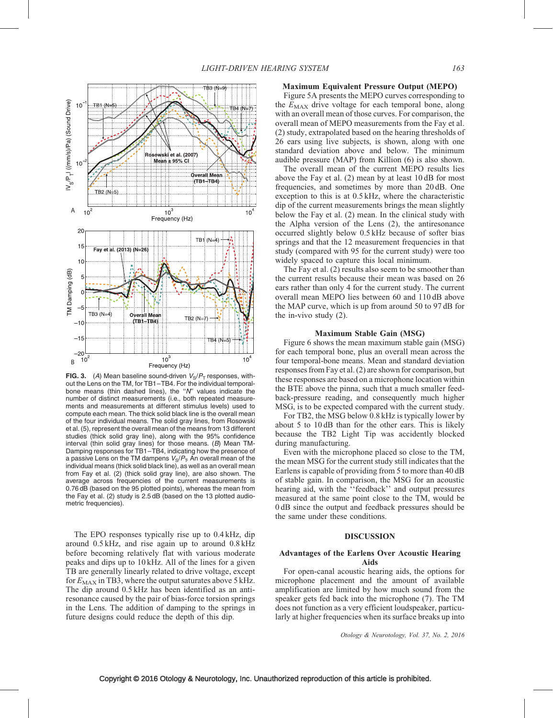

**FIG. 3.** (A) Mean baseline sound-driven  $V_S/P_T$  responses, without the Lens on the TM, for TB1-TB4. For the individual temporalbone means (thin dashed lines), the ''N'' values indicate the number of distinct measurements (i.e., both repeated measurements and measurements at different stimulus levels) used to compute each mean. The thick solid black line is the overall mean of the four individual means. The solid gray lines, from Rosowski et al. (5), represent the overall mean of the means from 13 different studies (thick solid gray line), along with the 95% confidence interval (thin solid gray lines) for those means.  $(B)$  Mean TM-Damping responses for TB1–TB4, indicating how the presence of a passive Lens on the TM dampens  $V_S/P_T$ . An overall mean of the individual means (thick solid black line), as well as an overall mean from Fay et al. (2) (thick solid gray line), are also shown. The average across frequencies of the current measurements is 0.76 dB (based on the 95 plotted points), whereas the mean from the Fay et al. (2) study is 2.5 dB (based on the 13 plotted audiometric frequencies).

The EPO responses typically rise up to 0.4 kHz, dip around 0.5 kHz, and rise again up to around 0.8 kHz before becoming relatively flat with various moderate peaks and dips up to 10 kHz. All of the lines for a given TB are generally linearly related to drive voltage, except for  $E_{MAX}$  in TB3, where the output saturates above 5 kHz. The dip around 0.5 kHz has been identified as an antiresonance caused by the pair of bias-force torsion springs in the Lens. The addition of damping to the springs in future designs could reduce the depth of this dip.

# Maximum Equivalent Pressure Output (MEPO)

Figure 5A presents the MEPO curves corresponding to the  $E_{MAX}$  drive voltage for each temporal bone, along with an overall mean of those curves. For comparison, the overall mean of MEPO measurements from the Fay et al. (2) study, extrapolated based on the hearing thresholds of 26 ears using live subjects, is shown, along with one standard deviation above and below. The minimum audible pressure (MAP) from Killion (6) is also shown.

The overall mean of the current MEPO results lies above the Fay et al. (2) mean by at least 10 dB for most frequencies, and sometimes by more than 20 dB. One exception to this is at 0.5 kHz, where the characteristic dip of the current measurements brings the mean slightly below the Fay et al. (2) mean. In the clinical study with the Alpha version of the Lens (2), the antiresonance occurred slightly below 0.5 kHz because of softer bias springs and that the 12 measurement frequencies in that study (compared with 95 for the current study) were too widely spaced to capture this local minimum.

The Fay et al. (2) results also seem to be smoother than the current results because their mean was based on 26 ears rather than only 4 for the current study. The current overall mean MEPO lies between 60 and 110 dB above the MAP curve, which is up from around 50 to 97 dB for the in-vivo study (2).

### Maximum Stable Gain (MSG)

Figure 6 shows the mean maximum stable gain (MSG) for each temporal bone, plus an overall mean across the four temporal-bone means. Mean and standard deviation responses from Fay et al. (2) are shown for comparison, but these responses are based on a microphone location within the BTE above the pinna, such that a much smaller feedback-pressure reading, and consequently much higher MSG, is to be expected compared with the current study.

For TB2, the MSG below 0.8 kHz is typically lower by about 5 to 10 dB than for the other ears. This is likely because the TB2 Light Tip was accidently blocked during manufacturing.

Even with the microphone placed so close to the TM, the mean MSG for the current study still indicates that the Earlens is capable of providing from 5 to more than 40 dB of stable gain. In comparison, the MSG for an acoustic hearing aid, with the ''feedback'' and output pressures measured at the same point close to the TM, would be 0 dB since the output and feedback pressures should be the same under these conditions.

# DISCUSSION

# Advantages of the Earlens Over Acoustic Hearing Aids

For open-canal acoustic hearing aids, the options for microphone placement and the amount of available amplification are limited by how much sound from the speaker gets fed back into the microphone (7). The TM does not function as a very efficient loudspeaker, particularly at higher frequencies when its surface breaks up into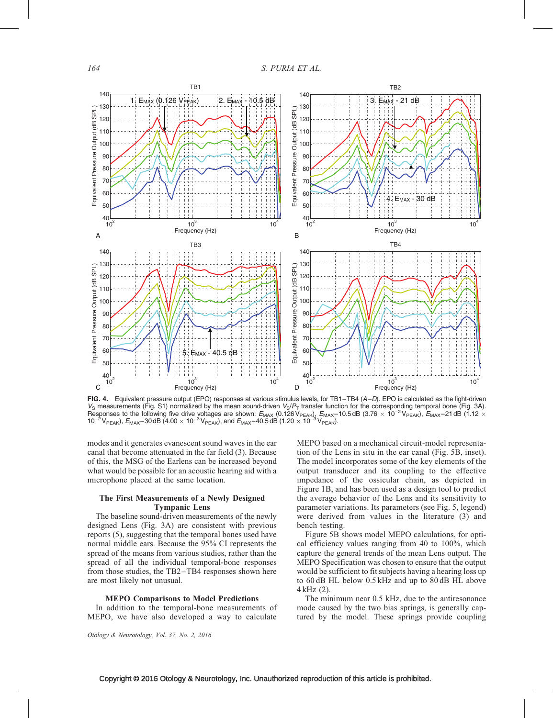

FIG. 4. Equivalent pressure output (EPO) responses at various stimulus levels, for TB1-TB4 (A-D). EPO is calculated as the light-driven  $V_S$  measurements (Fig. S1) normalized by the mean sound-driven  $V_S/P_T$  transfer function for the corresponding temporal bone (Fig. 3A). Responses to the following five drive voltages are shown:  $E_{MAX}$  (0.126 V<sub>PEAK)</sub>,  $E_{MAX}$ –10.5 dB (3.76  $\times$  10<sup>–2</sup> V<sub>PEAK</sub>),  $E_{MAX}$ –21 dB (1.12  $\times$  $10^{-2}$  V<sub>PEAK</sub>),  $E_{MAX}$ -30 dB (4.00  $\times$  10<sup>-3</sup> V<sub>PEAK</sub>), and  $E_{MAX}$ -40.5 dB (1.20  $\times$  10<sup>-3</sup> V<sub>PEAK</sub>).

modes and it generates evanescent sound waves in the ear canal that become attenuated in the far field (3). Because of this, the MSG of the Earlens can be increased beyond what would be possible for an acoustic hearing aid with a microphone placed at the same location.

# The First Measurements of a Newly Designed Tympanic Lens

The baseline sound-driven measurements of the newly designed Lens (Fig. 3A) are consistent with previous reports (5), suggesting that the temporal bones used have normal middle ears. Because the 95% CI represents the spread of the means from various studies, rather than the spread of all the individual temporal-bone responses from those studies, the TB2–TB4 responses shown here are most likely not unusual.

#### MEPO Comparisons to Model Predictions

In addition to the temporal-bone measurements of MEPO, we have also developed a way to calculate

MEPO based on a mechanical circuit-model representation of the Lens in situ in the ear canal (Fig. 5B, inset). The model incorporates some of the key elements of the output transducer and its coupling to the effective impedance of the ossicular chain, as depicted in Figure 1B, and has been used as a design tool to predict the average behavior of the Lens and its sensitivity to parameter variations. Its parameters (see Fig. 5, legend) were derived from values in the literature (3) and bench testing.

Figure 5B shows model MEPO calculations, for optical efficiency values ranging from 40 to 100%, which capture the general trends of the mean Lens output. The MEPO Specification was chosen to ensure that the output would be sufficient to fit subjects having a hearing loss up to 60 dB HL below 0.5 kHz and up to 80 dB HL above 4 kHz (2).

The minimum near 0.5 kHz, due to the antiresonance mode caused by the two bias springs, is generally captured by the model. These springs provide coupling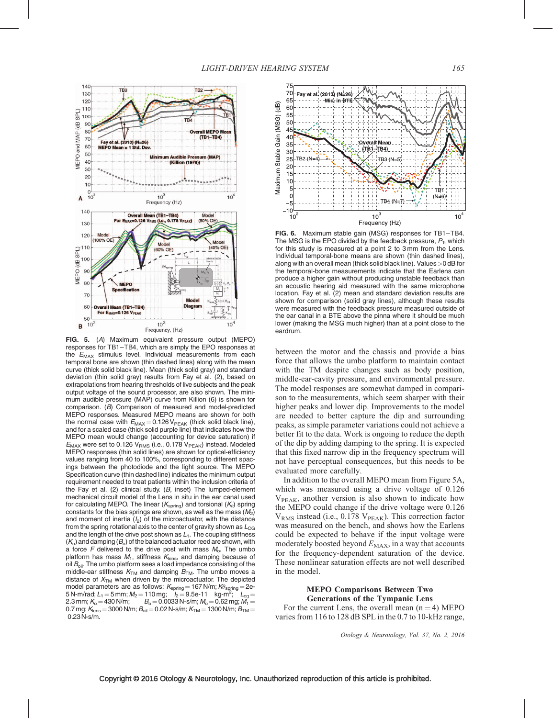

FIG. 5. (A) Maximum equivalent pressure output (MEPO) responses for TB1–TB4, which are simply the EPO responses at the  $E_{MAX}$  stimulus level. Individual measurements from each temporal bone are shown (thin dashed lines) along with the mean curve (thick solid black line). Mean (thick solid gray) and standard deviation (thin solid gray) results from Fay et al. (2), based on extrapolations from hearing thresholds of live subjects and the peak output voltage of the sound processor, are also shown. The minimum audible pressure (MAP) curve from Killion (6) is shown for comparison. (B) Comparison of measured and model-predicted MEPO responses. Measured MEPO means are shown for both the normal case with  $E_{MAX} = 0.126 V_{PEAK}$  (thick solid black line), and for a scaled case (thick solid purple line) that indicates how the MEPO mean would change (accounting for device saturation) if  $E_{MAX}$  were set to 0.126  $V_{RMS}$  (i.e., 0.178  $V_{PEAK}$ ) instead. Modeled MEPO responses (thin solid lines) are shown for optical-efficiency values ranging from 40 to 100%, corresponding to different spacings between the photodiode and the light source. The MEPO Specification curve (thin dashed line) indicates the minimum output requirement needed to treat patients within the inclusion criteria of the Fay et al. (2) clinical study.  $(B, \text{ inset})$  The lumped-element mechanical circuit model of the Lens in situ in the ear canal used for calculating MEPO. The linear ( $K_{\text{spring}}$ ) and torsional ( $K_{\theta}$ ) spring constants for the bias springs are shown, as well as the mass  $(M<sub>2</sub>)$ and moment of inertia  $(I_2)$  of the microactuator, with the distance from the spring rotational axis to the center of gravity shown as  $L_{CG}$ and the length of the drive post shown as  $L_1$ . The coupling stiffness  $(K<sub>o</sub>)$  and damping  $(B<sub>o</sub>)$  of the balanced actuator reed are shown, with a force F delivered to the drive post with mass  $M_0$ . The umbo platform has mass  $M_1$ , stiffness  $K_{\text{lens}}$ , and damping because of oil  $B_{\text{oil}}$ . The umbo platform sees a load impedance consisting of the middle-ear stiffness  $K<sub>TM</sub>$  and damping  $B<sub>TM</sub>$ . The umbo moves a distance of  $X_{TM}$  when driven by the microactuator. The depicted model parameters are as follows:  $\mathcal{K}_{\sf spring}$  = 167 N/m;  $\mathcal{K}_{\sf8pring}$  = 2e-<br>5 N-m/rad; L<sub>1</sub> = 5 mm; M<sub>2</sub> = 110 mg; I<sub>2</sub> = 9.5e-11 kg-m<sup>2</sup>; L<sub>cg</sub> = 2.3 mm;  $K_{\rm o}$  = 430 N/m;  $B_{\rm o}$  = 0.0033 N-s/m;  $M_{\rm o}$  = 0.62 mg;  $M_{\rm 1}$  = 0.7 mg;  $K_{\text{lens}} = 3000$  N/m;  $B_{\text{oil}} = 0.02$  N-s/m;  $K_{\text{TM}} = 1300$  N/m;  $B_{\text{TM}} =$ 0.23 N-s/m.



FIG. 6. Maximum stable gain (MSG) responses for TB1–TB4. The MSG is the EPO divided by the feedback pressure,  $P_{\text{T}}$ , which for this study is measured at a point 2 to 3 mm from the Lens. Individual temporal-bone means are shown (thin dashed lines), along with an overall mean (thick solid black line). Values>0 dB for the temporal-bone measurements indicate that the Earlens can produce a higher gain without producing unstable feedback than an acoustic hearing aid measured with the same microphone location. Fay et al. (2) mean and standard deviation results are shown for comparison (solid gray lines), although these results were measured with the feedback pressure measured outside of the ear canal in a BTE above the pinna where it should be much lower (making the MSG much higher) than at a point close to the eardrum.

between the motor and the chassis and provide a bias force that allows the umbo platform to maintain contact with the TM despite changes such as body position, middle-ear-cavity pressure, and environmental pressure. The model responses are somewhat damped in comparison to the measurements, which seem sharper with their higher peaks and lower dip. Improvements to the model are needed to better capture the dip and surrounding peaks, as simple parameter variations could not achieve a better fit to the data. Work is ongoing to reduce the depth of the dip by adding damping to the spring. It is expected that this fixed narrow dip in the frequency spectrum will not have perceptual consequences, but this needs to be evaluated more carefully.

In addition to the overall MEPO mean from Figure 5A, which was measured using a drive voltage of 0.126 V<sub>PEAK</sub>, another version is also shown to indicate how the MEPO could change if the drive voltage were 0.126  $V_{RMS}$  instead (i.e., 0.178  $V_{PEAK}$ ). This correction factor was measured on the bench, and shows how the Earlens could be expected to behave if the input voltage were moderately boosted beyond  $E_{MAX}$ , in a way that accounts for the frequency-dependent saturation of the device. These nonlinear saturation effects are not well described in the model.

# MEPO Comparisons Between Two Generations of the Tympanic Lens

For the current Lens, the overall mean  $(n = 4)$  MEPO varies from 116 to 128 dB SPL in the 0.7 to 10-kHz range,